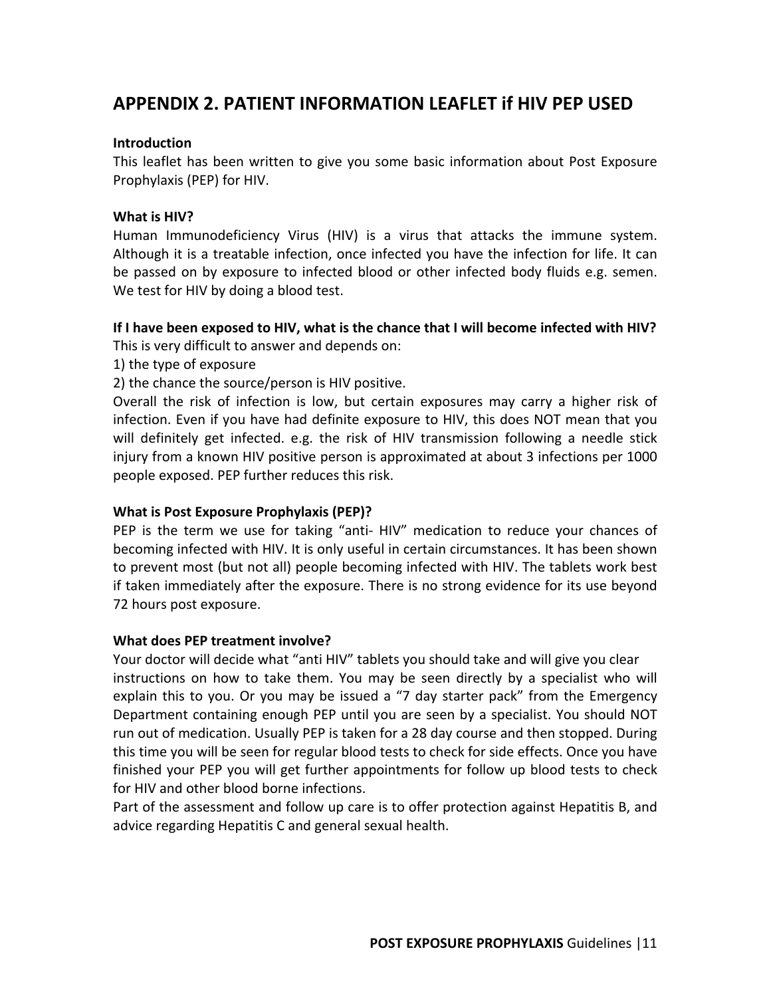# **APPENDIX 2. PATIENT INFORMATION LEAFLET if HIV PEP USED**

## **Introduction**

This leaflet has been written to give you some basic information about Post Exposure Prophylaxis (PEP) for HIV.

## **What is HIV?**

Human Immunodeficiency Virus (HIV) is a virus that attacks the immune system. Although it is a treatable infection, once infected you have the infection for life. It can be passed on by exposure to infected blood or other infected body fluids e.g. semen. We test for HIV by doing a blood test.

## **If I have been exposed to HIV, what is the chance that I will become infected with HIV?**

This is very difficult to answer and depends on:

- 1) the type of exposure
- 2) the chance the source/person is HIV positive.

Overall the risk of infection is low, but certain exposures may carry a higher risk of infection. Even if you have had definite exposure to HIV, this does NOT mean that you will definitely get infected. e.g. the risk of HIV transmission following a needle stick injury from a known HIV positive person is approximated at about 3 infections per 1000 people exposed. PEP further reduces this risk.

### **What is Post Exposure Prophylaxis (PEP)?**

PEP is the term we use for taking "anti- HIV" medication to reduce your chances of becoming infected with HIV. It is only useful in certain circumstances. It has been shown to prevent most (but not all) people becoming infected with HIV. The tablets work best if taken immediately after the exposure. There is no strong evidence for its use beyond 72 hours post exposure.

### **What does PEP treatment involve?**

Your doctor will decide what "anti HIV" tablets you should take and will give you clear instructions on how to take them. You may be seen directly by a specialist who will explain this to you. Or you may be issued a "7 day starter pack" from the Emergency Department containing enough PEP until you are seen by a specialist. You should NOT run out of medication. Usually PEP is taken for a 28 day course and then stopped. During this time you will be seen for regular blood tests to check for side effects. Once you have finished your PEP you will get further appointments for follow up blood tests to check for HIV and other blood borne infections.

Part of the assessment and follow up care is to offer protection against Hepatitis B, and advice regarding Hepatitis C and general sexual health.